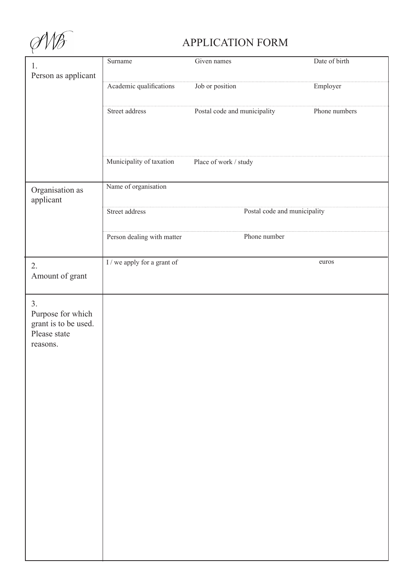$QN\mathscr{F}$ 

## APPLICATION FORM

| 1.                   | Surname                     | Given names                  | Date of birth |
|----------------------|-----------------------------|------------------------------|---------------|
| Person as applicant  |                             |                              |               |
|                      | Academic qualifications     | Job or position              | Employer      |
|                      |                             |                              |               |
|                      | Street address              | Postal code and municipality | Phone numbers |
|                      |                             |                              |               |
|                      |                             |                              |               |
|                      |                             |                              |               |
|                      | Municipality of taxation    | Place of work / study        |               |
|                      |                             |                              |               |
| Organisation as      | Name of organisation        |                              |               |
| applicant            |                             |                              |               |
|                      | Street address              | Postal code and municipality |               |
|                      |                             |                              |               |
|                      | Person dealing with matter  | Phone number                 |               |
|                      |                             |                              |               |
| 2.                   | I / we apply for a grant of |                              | euros         |
| Amount of grant      |                             |                              |               |
|                      |                             |                              |               |
| 3.                   |                             |                              |               |
| Purpose for which    |                             |                              |               |
| grant is to be used. |                             |                              |               |
| Please state         |                             |                              |               |
| reasons.             |                             |                              |               |
|                      |                             |                              |               |
|                      |                             |                              |               |
|                      |                             |                              |               |
|                      |                             |                              |               |
|                      |                             |                              |               |
|                      |                             |                              |               |
|                      |                             |                              |               |
|                      |                             |                              |               |
|                      |                             |                              |               |
|                      |                             |                              |               |
|                      |                             |                              |               |
|                      |                             |                              |               |
|                      |                             |                              |               |
|                      |                             |                              |               |
|                      |                             |                              |               |
|                      |                             |                              |               |
|                      |                             |                              |               |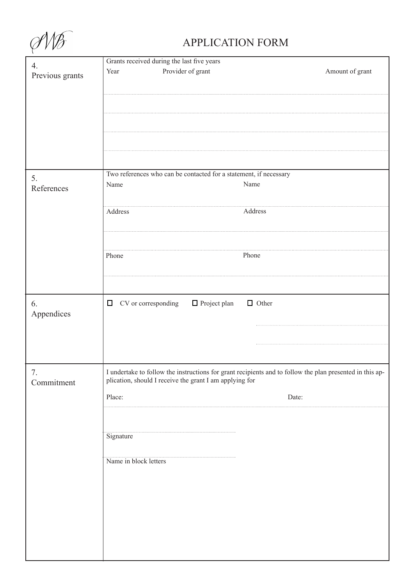$QN\mathscr{F}$ 

## APPLICATION FORM

| 4.              | Grants received during the last five years                                                               |                 |  |
|-----------------|----------------------------------------------------------------------------------------------------------|-----------------|--|
|                 | Provider of grant<br>Year                                                                                | Amount of grant |  |
| Previous grants |                                                                                                          |                 |  |
|                 |                                                                                                          |                 |  |
|                 |                                                                                                          |                 |  |
|                 |                                                                                                          |                 |  |
|                 |                                                                                                          |                 |  |
|                 |                                                                                                          |                 |  |
|                 |                                                                                                          |                 |  |
|                 |                                                                                                          |                 |  |
|                 |                                                                                                          |                 |  |
|                 |                                                                                                          |                 |  |
|                 | Two references who can be contacted for a statement, if necessary                                        |                 |  |
| 5.              | Name<br>Name                                                                                             |                 |  |
| References      |                                                                                                          |                 |  |
|                 |                                                                                                          |                 |  |
|                 |                                                                                                          |                 |  |
|                 | Address                                                                                                  | Address         |  |
|                 |                                                                                                          |                 |  |
|                 |                                                                                                          |                 |  |
|                 |                                                                                                          |                 |  |
|                 | Phone                                                                                                    | Phone           |  |
|                 |                                                                                                          |                 |  |
|                 |                                                                                                          |                 |  |
|                 |                                                                                                          |                 |  |
|                 |                                                                                                          |                 |  |
|                 |                                                                                                          |                 |  |
| 6.              | CV or corresponding<br>□ Project plan<br>$\Box$                                                          | $\Box$ Other    |  |
| Appendices      |                                                                                                          |                 |  |
|                 |                                                                                                          |                 |  |
|                 |                                                                                                          |                 |  |
|                 |                                                                                                          |                 |  |
|                 |                                                                                                          |                 |  |
|                 |                                                                                                          |                 |  |
| 7.              | I undertake to follow the instructions for grant recipients and to follow the plan presented in this ap- |                 |  |
| Commitment      | plication, should I receive the grant I am applying for                                                  |                 |  |
|                 |                                                                                                          |                 |  |
|                 | Place:                                                                                                   | Date:           |  |
|                 |                                                                                                          |                 |  |
|                 |                                                                                                          |                 |  |
|                 |                                                                                                          |                 |  |
|                 | Signature                                                                                                |                 |  |
|                 |                                                                                                          |                 |  |
|                 | Name in block letters                                                                                    |                 |  |
|                 |                                                                                                          |                 |  |
|                 |                                                                                                          |                 |  |
|                 |                                                                                                          |                 |  |
|                 |                                                                                                          |                 |  |
|                 |                                                                                                          |                 |  |
|                 |                                                                                                          |                 |  |
|                 |                                                                                                          |                 |  |
|                 |                                                                                                          |                 |  |
|                 |                                                                                                          |                 |  |
|                 |                                                                                                          |                 |  |
|                 |                                                                                                          |                 |  |